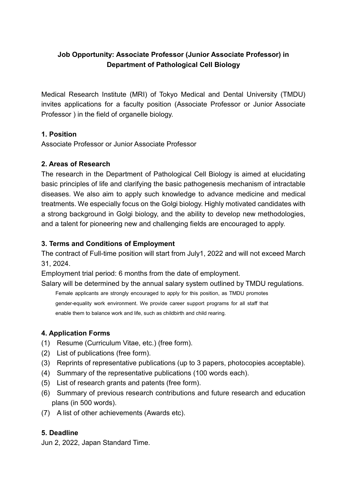# **Job Opportunity: Associate Professor (Junior Associate Professor) in Department of Pathological Cell Biology**

Medical Research Institute (MRI) of Tokyo Medical and Dental University (TMDU) invites applications for a faculty position (Associate Professor or Junior Associate Professor ) in the field of organelle biology.

### **1. Position**

Associate Professor or Junior Associate Professor

#### **2. Areas of Research**

The research in the Department of Pathological Cell Biology is aimed at elucidating basic principles of life and clarifying the basic pathogenesis mechanism of intractable diseases. We also aim to apply such knowledge to advance medicine and medical treatments. We especially focus on the Golgi biology. Highly motivated candidates with a strong background in Golgi biology, and the ability to develop new methodologies, and a talent for pioneering new and challenging fields are encouraged to apply.

#### **3. Terms and Conditions of Employment**

The contract of Full-time position will start from July1, 2022 and will not exceed March 31, 2024.

Employment trial period: 6 months from the date of employment.

Salary will be determined by the annual salary system outlined by TMDU regulations.

Female applicants are strongly encouraged to apply for this position, as TMDU promotes gender-equality work environment. We provide career support programs for all staff that enable them to balance work and life, such as childbirth and child rearing.

### **4. Application Forms**

- (1) Resume (Curriculum Vitae, etc.) (free form).
- (2) List of publications (free form).
- (3) Reprints of representative publications (up to 3 papers, photocopies acceptable).
- (4) Summary of the representative publications (100 words each).
- (5) List of research grants and patents (free form).
- (6) Summary of previous research contributions and future research and education plans (in 500 words).
- (7) A list of other achievements (Awards etc).

### **5. Deadline**

Jun 2, 2022, Japan Standard Time.